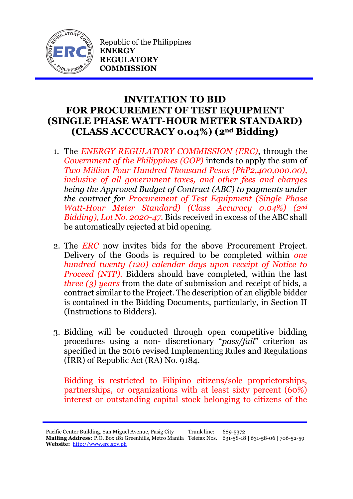

Republic of the Philippines **ENERGY REGULATORY COMMISSION**

## **INVITATION TO BID FOR PROCUREMENT OF TEST EQUIPMENT (SINGLE PHASE WATT-HOUR METER STANDARD) (CLASS ACCCURACY 0.04%) (2nd Bidding)**

- 1. The *ENERGY REGULATORY COMMISSION (ERC)*, through the *Government of the Philippines (GOP)* intends to apply the sum of *Two Million Four Hundred Thousand Pesos (PhP2,400,000.00), inclusive of all government taxes, and other fees and charges being the Approved Budget of Contract (ABC) to payments under the contract for Procurement of Test Equipment (Single Phase Watt-Hour Meter Standard) (Class Accuracy 0.04%) (2nd Bidding), Lot No. 2020-47.* Bids received in excess of the ABC shall be automatically rejected at bid opening.
- 2. The *ERC* now invites bids for the above Procurement Project. Delivery of the Goods is required to be completed within *one hundred twenty (120) calendar days upon receipt of Notice to Proceed (NTP).* Bidders should have completed, within the last *three (3) years* from the date of submission and receipt of bids, a contract similar to the Project. The description of an eligible bidder is contained in the Bidding Documents, particularly, in Section II (Instructions to Bidders).
- 3. Bidding will be conducted through open competitive bidding procedures using a non- discretionary "*pass/fail*" criterion as specified in the 2016 revised Implementing Rules and Regulations (IRR) of Republic Act (RA) No. 9184.

Bidding is restricted to Filipino citizens/sole proprietorships, partnerships, or organizations with at least sixty percent (60%) interest or outstanding capital stock belonging to citizens of the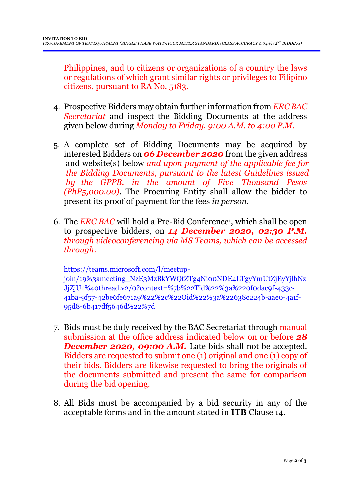Philippines, and to citizens or organizations of a country the laws or regulations of which grant similar rights or privileges to Filipino citizens, pursuant to RA No. 5183.

- 4. Prospective Bidders may obtain further information from *ERC BAC Secretariat* and inspect the Bidding Documents at the address given below during *Monday to Friday, 9:00 A.M. to 4:00 P.M*.
- 5. A complete set of Bidding Documents may be acquired by interested Bidders on *06 December 2020* from the given address and website(s) below *and upon payment of the applicable fee for the Bidding Documents, pursuant to the latest Guidelines issued by the GPPB, in the amount of Five Thousand Pesos (PhP5,000.00)*. The Procuring Entity shall allow the bidder to present its proof of payment for the fees *in person.*
- 6. The *ERC BAC* will hold a Pre-Bid Conference<sup>1</sup> , which shall be open to prospective bidders, on *14 December 2020, 02:30 P.M. through videoconferencing via MS Teams, which can be accessed through:*

https://teams.microsoft.com/l/meetupjoin/19%3ameeting\_NzE3MzBkYWQtZTg4Ni00NDE4LTgyYmUtZjEyYjlhNz JjZjU1%40thread.v2/0?context=%7b%22Tid%22%3a%220f0dac9f-433c-41ba-9f57-42be6fe671a9%22%2c%22Oid%22%3a%22638c224b-aae0-4a1f-95d8-6b417df5646d%22%7d

- 7. Bids must be duly received by the BAC Secretariat through manual submission at the office address indicated below on or before *28* **December 2020, 09:00 A.M.** Late bids shall not be accepted. Bidders are requested to submit one (1) original and one (1) copy of their bids. Bidders are likewise requested to bring the originals of the documents submitted and present the same for comparison during the bid opening.
- 8. All Bids must be accompanied by a bid security in any of the acceptable forms and in the amount stated in **ITB** Clause 14.